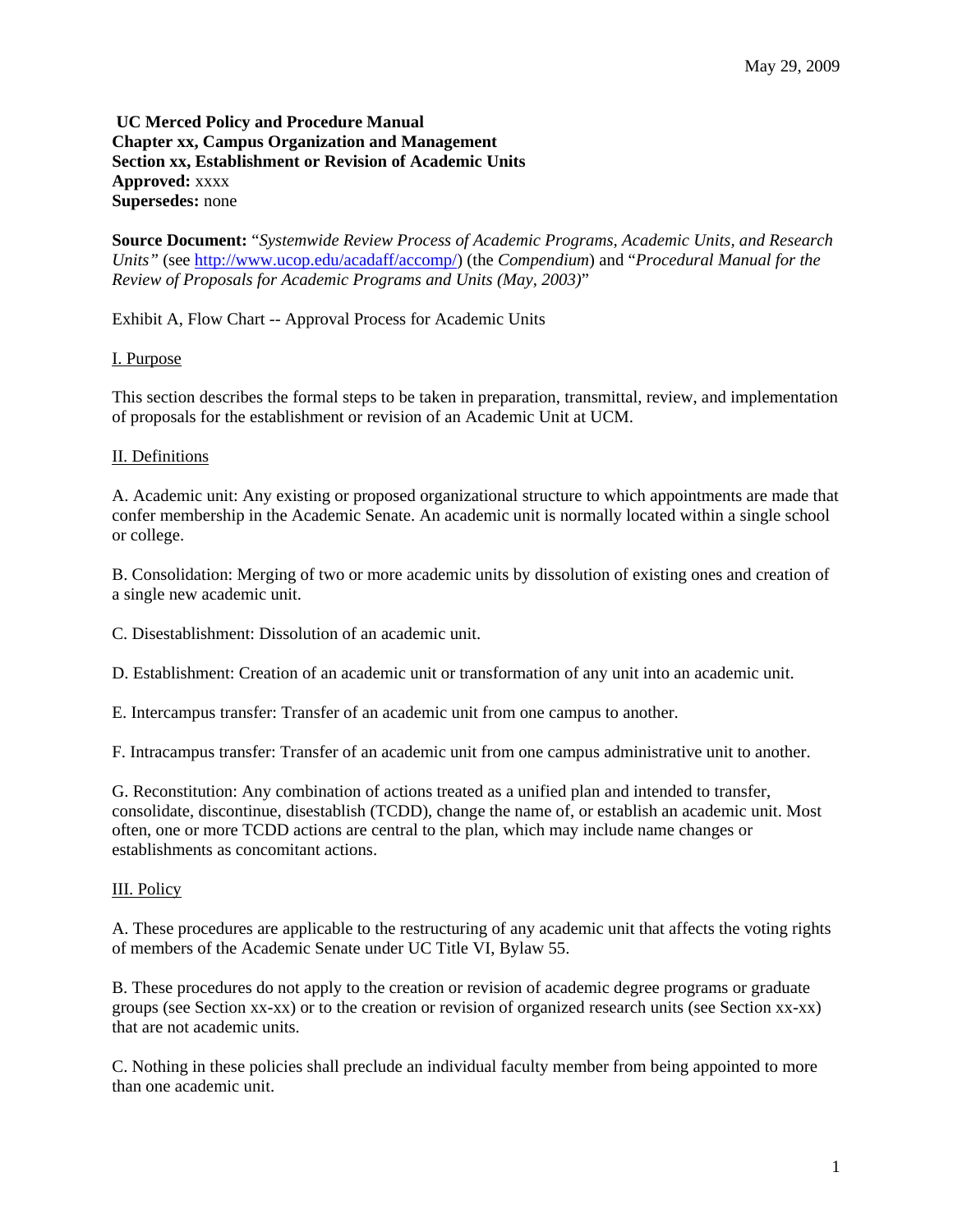**UC Merced Policy and Procedure Manual Chapter xx, Campus Organization and Management Section xx, Establishment or Revision of Academic Units Approved:** xxxx **Supersedes:** none

**Source Document:** "*Systemwide Review Process of Academic Programs, Academic Units, and Research Units"* (see http://www.ucop.edu/acadaff/accomp/) (the *Compendium*) and "*Procedural Manual for the Review of Proposals for Academic Programs and Units (May, 2003)*"

Exhibit A, Flow Chart -- Approval Process for Academic Units

## I. Purpose

This section describes the formal steps to be taken in preparation, transmittal, review, and implementation of proposals for the establishment or revision of an Academic Unit at UCM.

## II. Definitions

A. Academic unit: Any existing or proposed organizational structure to which appointments are made that confer membership in the Academic Senate. An academic unit is normally located within a single school or college.

B. Consolidation: Merging of two or more academic units by dissolution of existing ones and creation of a single new academic unit.

C. Disestablishment: Dissolution of an academic unit.

D. Establishment: Creation of an academic unit or transformation of any unit into an academic unit.

E. Intercampus transfer: Transfer of an academic unit from one campus to another.

F. Intracampus transfer: Transfer of an academic unit from one campus administrative unit to another.

G. Reconstitution: Any combination of actions treated as a unified plan and intended to transfer, consolidate, discontinue, disestablish (TCDD), change the name of, or establish an academic unit. Most often, one or more TCDD actions are central to the plan, which may include name changes or establishments as concomitant actions.

# III. Policy

A. These procedures are applicable to the restructuring of any academic unit that affects the voting rights of members of the Academic Senate under UC Title VI, Bylaw 55.

B. These procedures do not apply to the creation or revision of academic degree programs or graduate groups (see Section xx-xx) or to the creation or revision of organized research units (see Section xx-xx) that are not academic units.

C. Nothing in these policies shall preclude an individual faculty member from being appointed to more than one academic unit.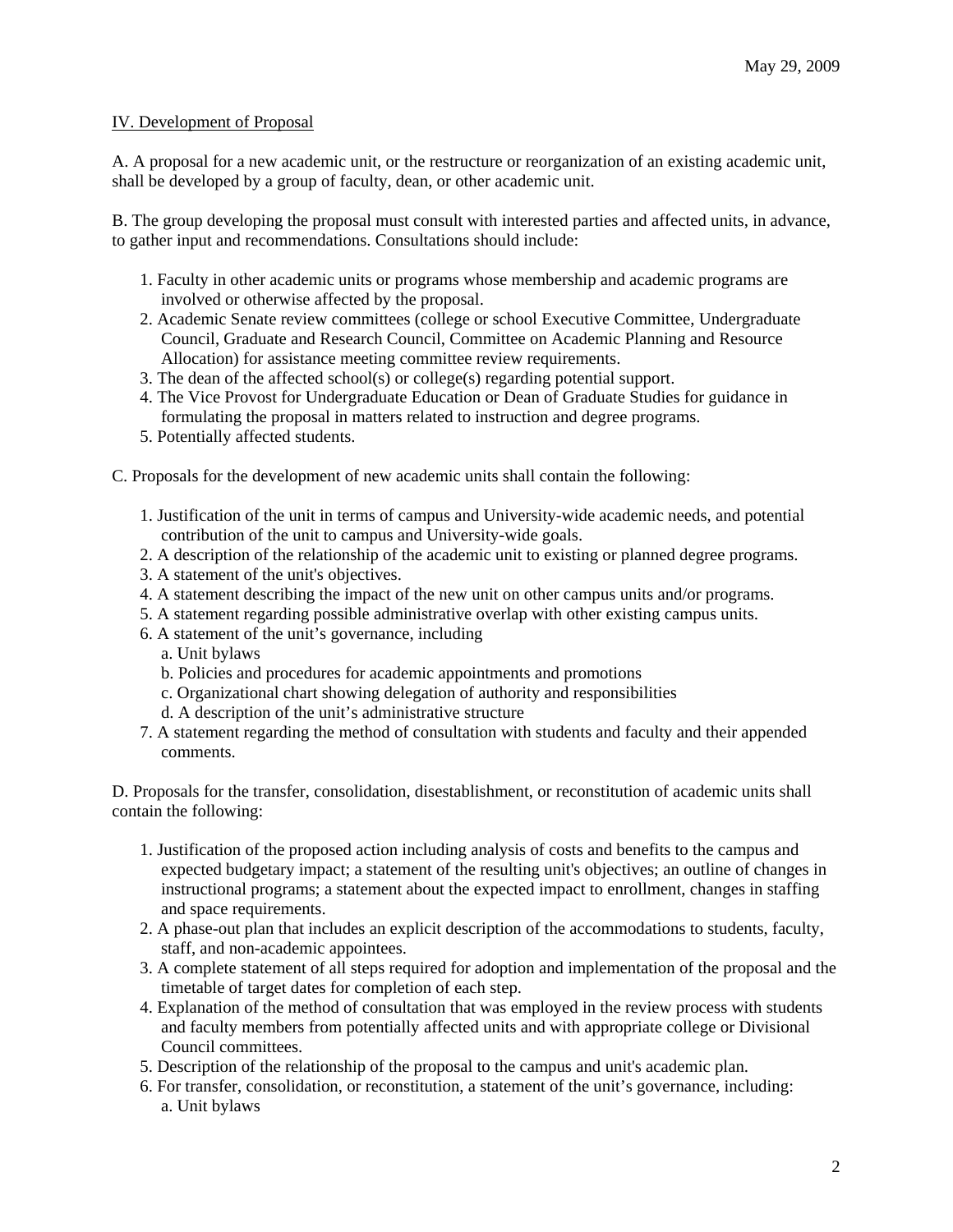## IV. Development of Proposal

A. A proposal for a new academic unit, or the restructure or reorganization of an existing academic unit, shall be developed by a group of faculty, dean, or other academic unit.

B. The group developing the proposal must consult with interested parties and affected units, in advance, to gather input and recommendations. Consultations should include:

- 1. Faculty in other academic units or programs whose membership and academic programs are involved or otherwise affected by the proposal.
- 2. Academic Senate review committees (college or school Executive Committee, Undergraduate Council, Graduate and Research Council, Committee on Academic Planning and Resource Allocation) for assistance meeting committee review requirements.
- 3. The dean of the affected school(s) or college(s) regarding potential support.
- 4. The Vice Provost for Undergraduate Education or Dean of Graduate Studies for guidance in formulating the proposal in matters related to instruction and degree programs.
- 5. Potentially affected students.
- C. Proposals for the development of new academic units shall contain the following:
	- 1. Justification of the unit in terms of campus and University-wide academic needs, and potential contribution of the unit to campus and University-wide goals.
	- 2. A description of the relationship of the academic unit to existing or planned degree programs.
	- 3. A statement of the unit's objectives.
	- 4. A statement describing the impact of the new unit on other campus units and/or programs.
	- 5. A statement regarding possible administrative overlap with other existing campus units.
	- 6. A statement of the unit's governance, including
		- a. Unit bylaws
		- b. Policies and procedures for academic appointments and promotions
		- c. Organizational chart showing delegation of authority and responsibilities
		- d. A description of the unit's administrative structure
	- 7. A statement regarding the method of consultation with students and faculty and their appended comments.

D. Proposals for the transfer, consolidation, disestablishment, or reconstitution of academic units shall contain the following:

- 1. Justification of the proposed action including analysis of costs and benefits to the campus and expected budgetary impact; a statement of the resulting unit's objectives; an outline of changes in instructional programs; a statement about the expected impact to enrollment, changes in staffing and space requirements.
- 2. A phase-out plan that includes an explicit description of the accommodations to students, faculty, staff, and non-academic appointees.
- 3. A complete statement of all steps required for adoption and implementation of the proposal and the timetable of target dates for completion of each step.
- 4. Explanation of the method of consultation that was employed in the review process with students and faculty members from potentially affected units and with appropriate college or Divisional Council committees.
- 5. Description of the relationship of the proposal to the campus and unit's academic plan.
- 6. For transfer, consolidation, or reconstitution, a statement of the unit's governance, including: a. Unit bylaws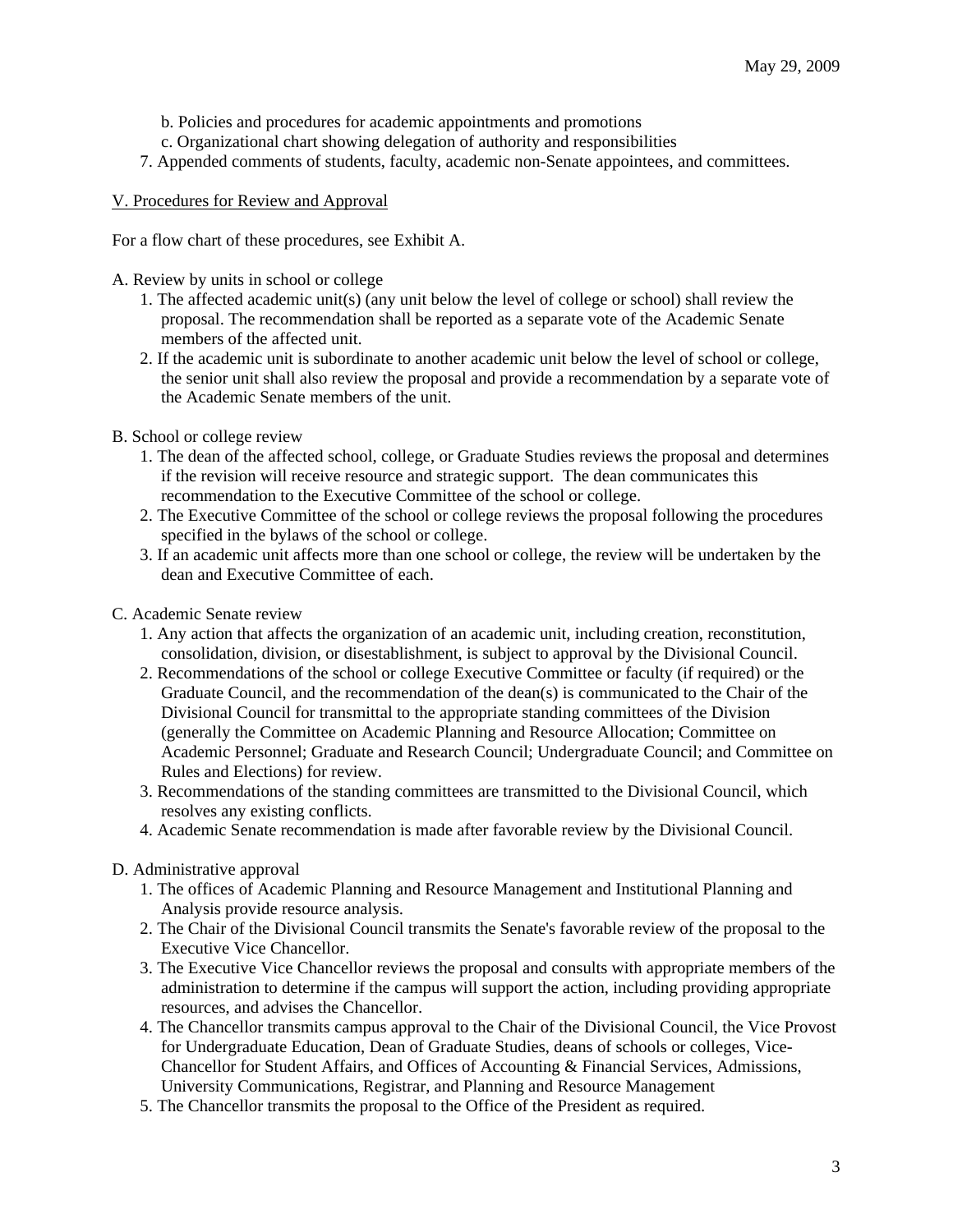- b. Policies and procedures for academic appointments and promotions
- c. Organizational chart showing delegation of authority and responsibilities
- 7. Appended comments of students, faculty, academic non-Senate appointees, and committees.

# V. Procedures for Review and Approval

For a flow chart of these procedures, see Exhibit A.

- A. Review by units in school or college
	- 1. The affected academic unit(s) (any unit below the level of college or school) shall review the proposal. The recommendation shall be reported as a separate vote of the Academic Senate members of the affected unit.
	- 2. If the academic unit is subordinate to another academic unit below the level of school or college, the senior unit shall also review the proposal and provide a recommendation by a separate vote of the Academic Senate members of the unit.
- B. School or college review
	- 1. The dean of the affected school, college, or Graduate Studies reviews the proposal and determines if the revision will receive resource and strategic support. The dean communicates this recommendation to the Executive Committee of the school or college.
	- 2. The Executive Committee of the school or college reviews the proposal following the procedures specified in the bylaws of the school or college.
	- 3. If an academic unit affects more than one school or college, the review will be undertaken by the dean and Executive Committee of each.
- C. Academic Senate review
	- 1. Any action that affects the organization of an academic unit, including creation, reconstitution, consolidation, division, or disestablishment, is subject to approval by the Divisional Council.
	- 2. Recommendations of the school or college Executive Committee or faculty (if required) or the Graduate Council, and the recommendation of the dean(s) is communicated to the Chair of the Divisional Council for transmittal to the appropriate standing committees of the Division (generally the Committee on Academic Planning and Resource Allocation; Committee on Academic Personnel; Graduate and Research Council; Undergraduate Council; and Committee on Rules and Elections) for review.
	- 3. Recommendations of the standing committees are transmitted to the Divisional Council, which resolves any existing conflicts.
	- 4. Academic Senate recommendation is made after favorable review by the Divisional Council.

# D. Administrative approval

- 1. The offices of Academic Planning and Resource Management and Institutional Planning and Analysis provide resource analysis.
- 2. The Chair of the Divisional Council transmits the Senate's favorable review of the proposal to the Executive Vice Chancellor.
- 3. The Executive Vice Chancellor reviews the proposal and consults with appropriate members of the administration to determine if the campus will support the action, including providing appropriate resources, and advises the Chancellor.
- 4. The Chancellor transmits campus approval to the Chair of the Divisional Council, the Vice Provost for Undergraduate Education, Dean of Graduate Studies, deans of schools or colleges, Vice-Chancellor for Student Affairs, and Offices of Accounting & Financial Services, Admissions, University Communications, Registrar, and Planning and Resource Management
- 5. The Chancellor transmits the proposal to the Office of the President as required.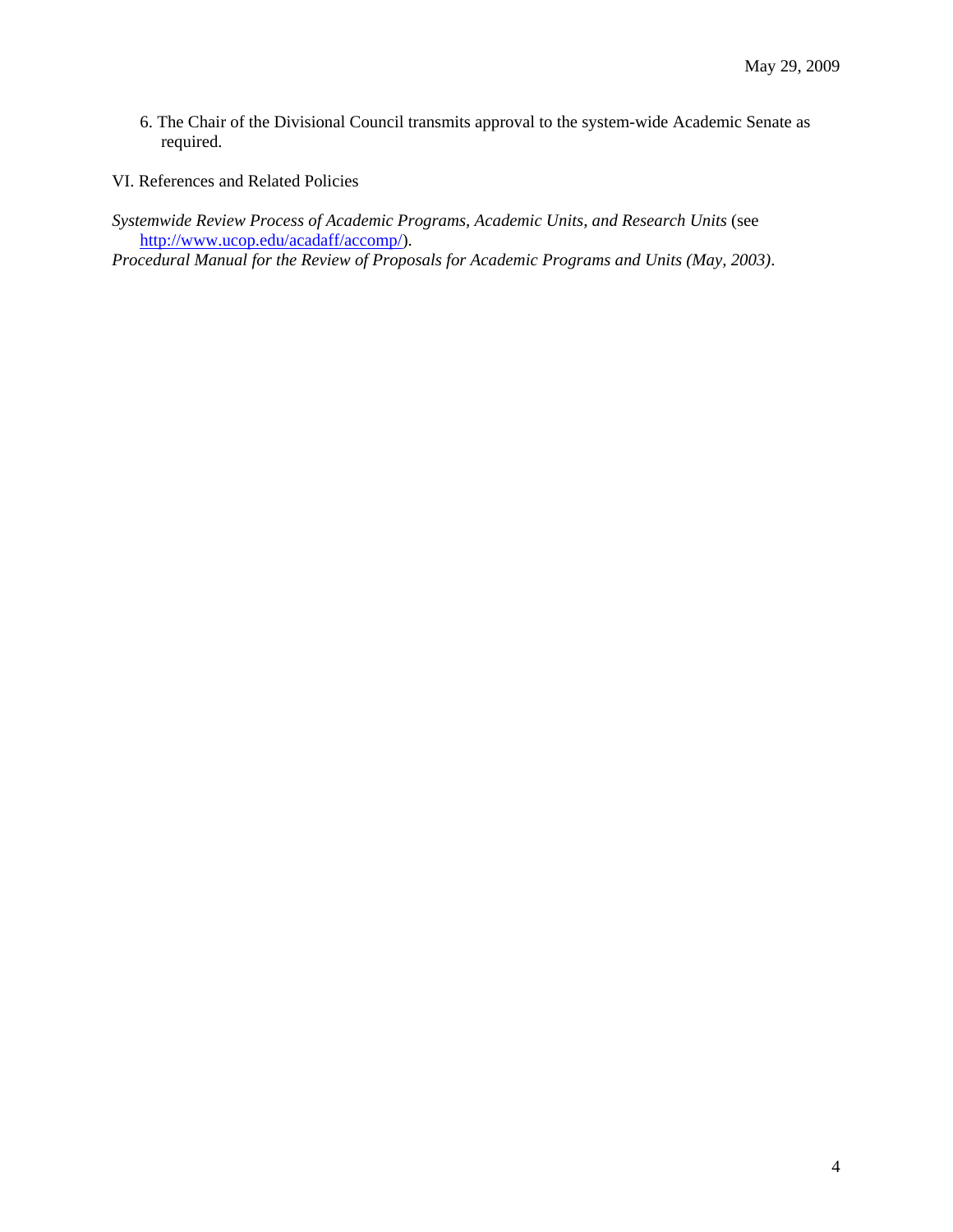- 6. The Chair of the Divisional Council transmits approval to the system-wide Academic Senate as required.
- VI. References and Related Policies
- *Systemwide Review Process of Academic Programs, Academic Units, and Research Units* (see http://www.ucop.edu/acadaff/accomp/).

*Procedural Manual for the Review of Proposals for Academic Programs and Units (May, 2003)*.